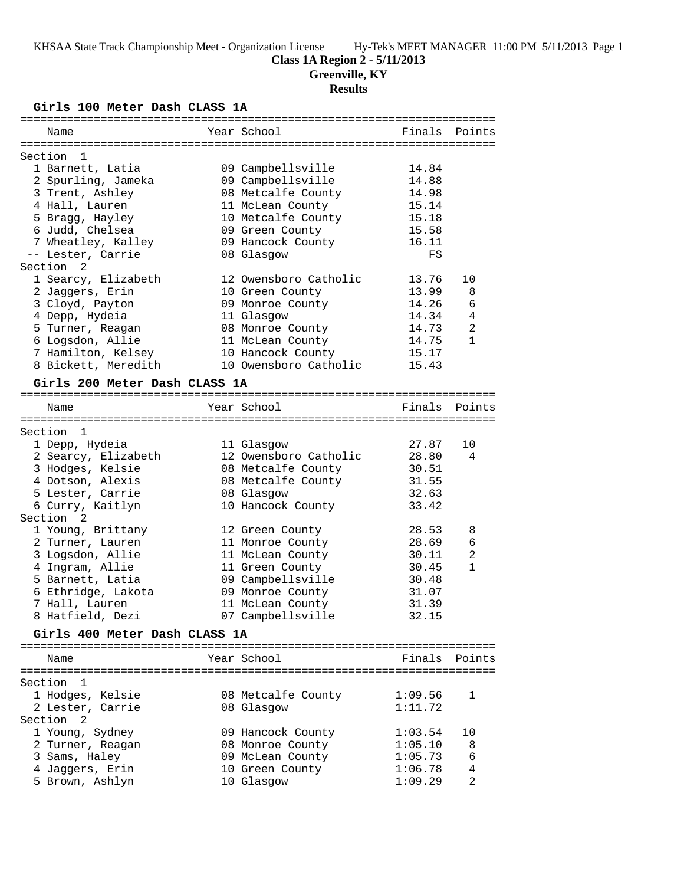# **Class 1A Region 2 - 5/11/2013**

**Greenville, KY**

# **Results**

**Girls 100 Meter Dash CLASS 1A**

| Name                                 | Year School           | Finals  | Points         |
|--------------------------------------|-----------------------|---------|----------------|
|                                      |                       |         |                |
| Section<br>1                         |                       |         |                |
| 1 Barnett, Latia                     | 09 Campbellsville     | 14.84   |                |
| 2 Spurling, Jameka                   | 09 Campbellsville     | 14.88   |                |
| 3 Trent, Ashley                      | 08 Metcalfe County    | 14.98   |                |
| 4 Hall, Lauren                       | 11 McLean County      | 15.14   |                |
| 5 Bragg, Hayley                      | 10 Metcalfe County    | 15.18   |                |
| 6 Judd, Chelsea                      | 09 Green County       | 15.58   |                |
| 7 Wheatley, Kalley                   | 09 Hancock County     | 16.11   |                |
| -- Lester, Carrie                    | 08 Glasgow            | FS      |                |
| Section <sub>2</sub>                 |                       |         |                |
| 1 Searcy, Elizabeth                  | 12 Owensboro Catholic | 13.76   | 10             |
| 2 Jaggers, Erin                      | 10 Green County       | 13.99   | 8              |
| 3 Cloyd, Payton                      | 09 Monroe County      | 14.26   | 6              |
| 4 Depp, Hydeia                       | 11 Glasgow            | 14.34   | 4              |
| 5 Turner, Reagan                     | 08 Monroe County      | 14.73   | 2              |
| 6 Logsdon, Allie                     | 11 McLean County      | 14.75   | $\mathbf{1}$   |
| 7 Hamilton, Kelsey                   | 10 Hancock County     | 15.17   |                |
| 8 Bickett, Meredith                  | 10 Owensboro Catholic | 15.43   |                |
|                                      |                       |         |                |
| Girls 200 Meter Dash CLASS 1A        |                       |         |                |
|                                      |                       |         |                |
| Name                                 | Year School           | Finals  | Points         |
|                                      |                       |         |                |
| Section 1                            |                       |         |                |
| 1 Depp, Hydeia                       | 11 Glasgow            | 27.87   | 10             |
| 2 Searcy, Elizabeth                  | 12 Owensboro Catholic | 28.80   | 4              |
| 3 Hodges, Kelsie                     | 08 Metcalfe County    | 30.51   |                |
| 4 Dotson, Alexis                     | 08 Metcalfe County    | 31.55   |                |
| 5 Lester, Carrie                     | 08 Glasgow            | 32.63   |                |
| 6 Curry, Kaitlyn                     | 10 Hancock County     | 33.42   |                |
| Section <sub>2</sub>                 |                       |         |                |
| 1 Young, Brittany                    | 12 Green County       | 28.53   | 8              |
| 2 Turner, Lauren                     | 11 Monroe County      | 28.69   | 6              |
| 3 Logsdon, Allie                     | 11 McLean County      | 30.11   | $\overline{2}$ |
| 4 Ingram, Allie                      | 11 Green County       | 30.45   | $\mathbf{1}$   |
| 5 Barnett, Latia                     | 09 Campbellsville     | 30.48   |                |
| 6 Ethridge, Lakota                   | 09 Monroe County      | 31.07   |                |
| 7 Hall, Lauren                       | 11 McLean County      | 31.39   |                |
| 8 Hatfield, Dezi                     | 07 Campbellsville     | 32.15   |                |
|                                      |                       |         |                |
| Girls 400 Meter Dash CLASS 1A        |                       |         |                |
| Name                                 | Year School           | Finals  | Points         |
|                                      |                       |         |                |
| Section 1                            |                       |         |                |
|                                      |                       | 1:09.56 | 1              |
| 1 Hodges, Kelsie<br>2 Lester, Carrie | 08 Metcalfe County    |         |                |
|                                      | 08 Glasgow            | 1:11.72 |                |
| Section<br>2                         |                       |         |                |
| 1 Young, Sydney                      | 09 Hancock County     | 1:03.54 | 10             |
| 2 Turner, Reagan                     | 08 Monroe County      | 1:05.10 | 8              |
| 3 Sams, Haley                        | 09 McLean County      | 1:05.73 | 6              |
| 4 Jaggers, Erin                      | 10 Green County       | 1:06.78 | 4              |
| 5 Brown, Ashlyn                      | 10 Glasgow            | 1:09.29 | 2              |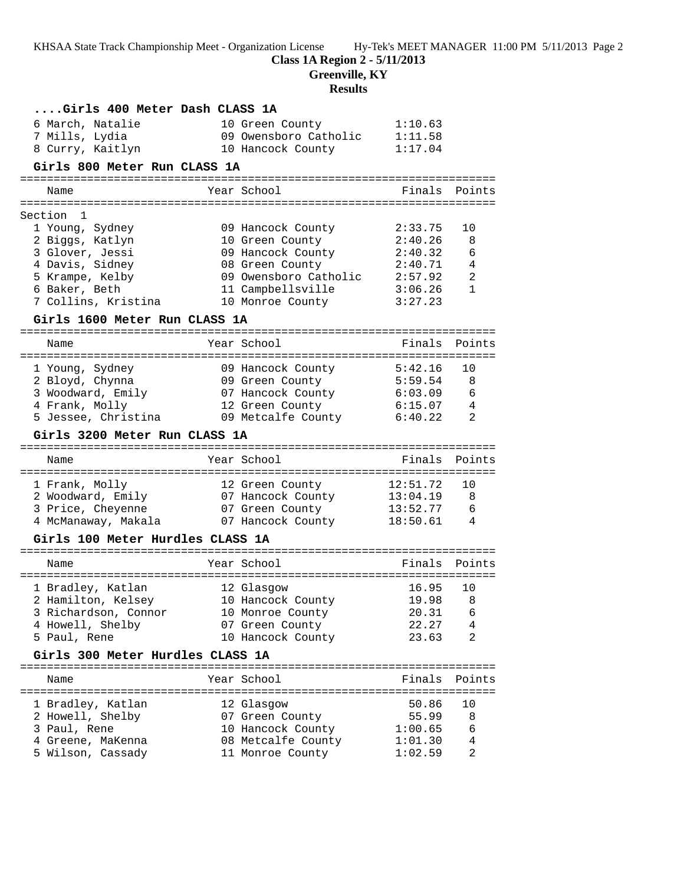**Class 1A Region 2 - 5/11/2013**

**Greenville, KY**

# **Results**

| Girls 400 Meter Dash CLASS 1A                          |                                                                       |                    |                              |
|--------------------------------------------------------|-----------------------------------------------------------------------|--------------------|------------------------------|
| 6 March, Natalie<br>7 Mills, Lydia<br>8 Curry, Kaitlyn | 10 Green County<br>09 Owensboro Catholic 1:11.58<br>10 Hancock County | 1:10.63<br>1:17.04 |                              |
| Girls 800 Meter Run CLASS 1A                           |                                                                       |                    |                              |
| Name                                                   | Year School                                                           | Finals             | Points                       |
|                                                        |                                                                       |                    |                              |
| Section 1                                              |                                                                       |                    |                              |
| 1 Young, Sydney                                        | 09 Hancock County                                                     | 2:33.75            | 10                           |
| 2 Biggs, Katlyn                                        | 10 Green County                                                       | 2:40.26            | 8                            |
| 3 Glover, Jessi<br>4 Davis, Sidney                     | 09 Hancock County<br>08 Green County                                  | 2:40.32<br>2:40.71 | $\epsilon$<br>$\overline{4}$ |
| 5 Krampe, Kelby                                        | 09 Owensboro Catholic 2:57.92                                         |                    | 2                            |
| 6 Baker, Beth                                          | 11 Campbellsville                                                     | 3:06.26            | $\mathbf{1}$                 |
| 7 Collins, Kristina                                    | 10 Monroe County                                                      | 3:27.23            |                              |
| Girls 1600 Meter Run CLASS 1A                          |                                                                       |                    |                              |
|                                                        |                                                                       |                    |                              |
| Name                                                   | Year School                                                           | Finals             | Points                       |
| 1 Young, Sydney                                        | 09 Hancock County                                                     | 5:42.16            | 10                           |
| 2 Bloyd, Chynna                                        | 09 Green County                                                       | 5:59.54            | -8                           |
| 3 Woodward, Emily                                      | 07 Hancock County                                                     | 6:03.09            | 6                            |
| 4 Frank, Molly                                         | 12 Green County                                                       | 6:15.07            | $\overline{4}$               |
| 5 Jessee, Christina                                    | 09 Metcalfe County                                                    | 6:40.22            | 2                            |
| Girls 3200 Meter Run CLASS 1A                          |                                                                       |                    |                              |
| Name                                                   | Year School                                                           | Finals             | Points                       |
| 1 Frank, Molly                                         | 12 Green County                                                       | 12:51.72           | 10                           |
| 2 Woodward, Emily 67 Hancock County                    |                                                                       | $13:04.19$ 8       |                              |
| 3 Price, Cheyenne 67 Green County                      |                                                                       | $13:52.77$ 6       |                              |
| 4 McManaway, Makala           07 Hancock County        |                                                                       | 18:50.61           | $\overline{4}$               |
| Girls 100 Meter Hurdles CLASS 1A                       |                                                                       |                    |                              |
| Name                                                   | Year School                                                           | Finals             | Points                       |
| 1 Bradley, Katlan                                      | 12 Glasgow                                                            | 16.95              | 10                           |
| 2 Hamilton, Kelsey                                     | 10 Hancock County                                                     | 19.98              | 8                            |
| 3 Richardson, Connor                                   | 10 Monroe County                                                      | 20.31              | 6                            |
| 4 Howell, Shelby                                       | 07 Green County                                                       | 22.27              | 4                            |
| 5 Paul, Rene                                           | 10 Hancock County                                                     | 23.63              | 2                            |
| Girls 300 Meter Hurdles CLASS 1A                       |                                                                       |                    |                              |
| Name                                                   | Year School                                                           | Finals             | Points                       |
| 1 Bradley, Katlan                                      | 12 Glasgow                                                            | 50.86              | 10                           |
| 2 Howell, Shelby                                       | 07 Green County                                                       | 55.99              | 8                            |
| 3 Paul, Rene                                           | 10 Hancock County                                                     | 1:00.65            | 6                            |
| 4 Greene, MaKenna                                      | 08 Metcalfe County                                                    | 1:01.30            | 4                            |
| 5 Wilson, Cassady                                      | 11 Monroe County                                                      | 1:02.59            | 2                            |
|                                                        |                                                                       |                    |                              |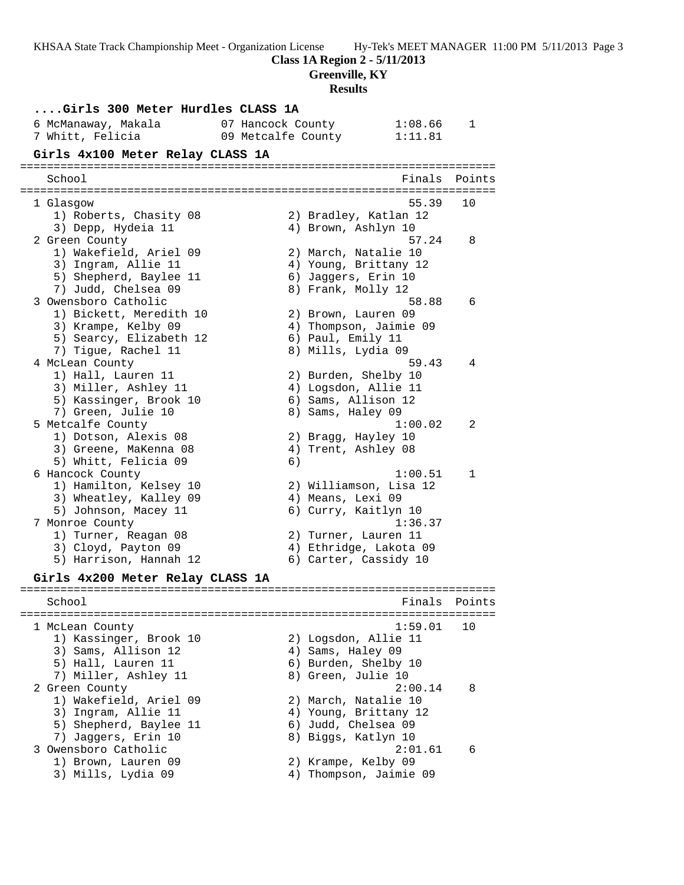**Class 1A Region 2 - 5/11/2013**

**Greenville, KY**

## **Results**

|                                                 | results                         |        |
|-------------------------------------------------|---------------------------------|--------|
| Girls 300 Meter Hurdles CLASS 1A                |                                 |        |
| 6 McManaway, Makala                             | 07 Hancock County<br>1:08.66    | 1      |
| 7 Whitt, Felicia                                | 09 Metcalfe County<br>1:11.81   |        |
| Girls 4x100 Meter Relay CLASS 1A                |                                 |        |
|                                                 |                                 |        |
| School                                          | Finals                          | Points |
| 1 Glasgow                                       | 55.39                           | 10     |
| 1) Roberts, Chasity 08                          | 2) Bradley, Katlan 12           |        |
| 3) Depp, Hydeia 11                              | 4) Brown, Ashlyn 10             |        |
| 2 Green County                                  | 57.24                           | 8      |
| 1) Wakefield, Ariel 09                          | 2) March, Natalie 10            |        |
| 3) Ingram, Allie 11                             | 4) Young, Brittany 12           |        |
| 5) Shepherd, Baylee 11                          | 6) Jaggers, Erin 10             |        |
| 7) Judd, Chelsea 09<br>3 Owensboro Catholic     | 8) Frank, Molly 12<br>58.88     | 6      |
| 1) Bickett, Meredith 10                         | 2) Brown, Lauren 09             |        |
| 3) Krampe, Kelby 09                             | 4) Thompson, Jaimie 09          |        |
| 5) Searcy, Elizabeth 12                         | 6) Paul, Emily 11               |        |
| 7) Tigue, Rachel 11                             | 8) Mills, Lydia 09              |        |
| 4 McLean County                                 | 59.43                           | 4      |
| 1) Hall, Lauren 11                              | 2) Burden, Shelby 10            |        |
| 3) Miller, Ashley 11                            | 4) Logsdon, Allie 11            |        |
| 5) Kassinger, Brook 10                          | 6) Sams, Allison 12             |        |
| 7) Green, Julie 10                              | 8) Sams, Haley 09               |        |
| 5 Metcalfe County                               | 1:00.02                         | 2      |
| 1) Dotson, Alexis 08                            | 2) Bragg, Hayley 10             |        |
| 3) Greene, MaKenna 08                           | 4) Trent, Ashley 08             |        |
| 5) Whitt, Felicia 09                            | 6)<br>1:00.51                   | 1      |
| 6 Hancock County<br>1) Hamilton, Kelsey 10      | 2) Williamson, Lisa 12          |        |
| 3) Wheatley, Kalley 09                          | 4) Means, Lexi 09               |        |
| 5) Johnson, Macey 11                            | 6) Curry, Kaitlyn 10            |        |
| 7 Monroe County                                 | 1:36.37                         |        |
| 1) Turner, Reagan 08                            | 2) Turner, Lauren 11            |        |
| 3) Cloyd, Payton 09                             | 4) Ethridge, Lakota 09          |        |
| 5) Harrison, Hannah 12                          | 6) Carter, Cassidy 10           |        |
| Girls 4x200 Meter Relay CLASS 1A                |                                 |        |
| . _ _ _ _ _ _ _ _ _ _ _ _ _ _ _ _ _ _<br>School | Finals                          | Points |
|                                                 |                                 |        |
| 1 McLean County                                 | 1:59.01                         | 10     |
| 1) Kassinger, Brook 10                          | 2) Logsdon, Allie 11            |        |
| 3) Sams, Allison 12                             | 4) Sams, Haley 09               |        |
| 5) Hall, Lauren 11                              | 6) Burden, Shelby 10            |        |
| 7) Miller, Ashley 11                            | 8) Green, Julie 10              |        |
| 2 Green County<br>1) Wakefield, Ariel 09        | 2:00.14<br>2) March, Natalie 10 | 8      |
| 3) Ingram, Allie 11                             | 4) Young, Brittany 12           |        |
| 5) Shepherd, Baylee 11                          | 6) Judd, Chelsea 09             |        |
| 7) Jaggers, Erin 10                             | 8) Biggs, Katlyn 10             |        |
| 3 Owensboro Catholic                            | 2:01.61                         | 6      |
| 1) Brown, Lauren 09                             | 2) Krampe, Kelby 09             |        |
| 3) Mills, Lydia 09                              | 4) Thompson, Jaimie 09          |        |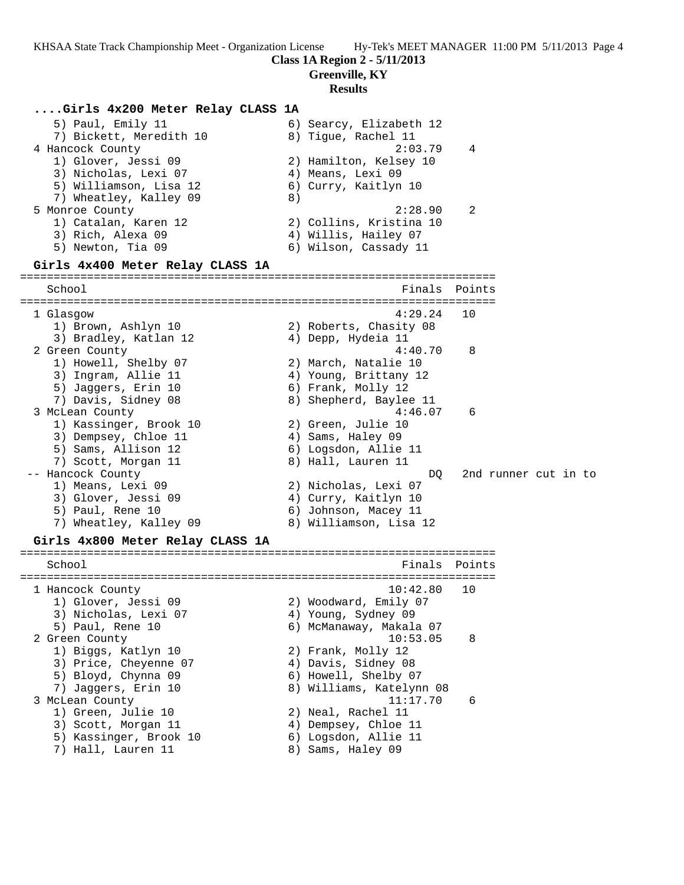### **Class 1A Region 2 - 5/11/2013**

**Greenville, KY**

### **Results**

### **....Girls 4x200 Meter Relay CLASS 1A**

| 5) Paul, Emily 11       | 6) Searcy, Elizabeth 12   |  |
|-------------------------|---------------------------|--|
| 7) Bickett, Meredith 10 | 8) Tigue, Rachel 11       |  |
| 4 Hancock County        | 2:03.79<br>$\overline{4}$ |  |
| 1) Glover, Jessi 09     | 2) Hamilton, Kelsey 10    |  |
| 3) Nicholas, Lexi 07    | 4) Means, Lexi 09         |  |
| 5) Williamson, Lisa 12  | 6) Curry, Kaitlyn 10      |  |
| 7) Wheatley, Kalley 09  | 8)                        |  |
| 5 Monroe County         | 2:28.90<br>- 2            |  |
| 1) Catalan, Karen 12    | 2) Collins, Kristina 10   |  |
| 3) Rich, Alexa 09       | 4) Willis, Hailey 07      |  |
| 5) Newton, Tia 09       | 6) Wilson, Cassady 11     |  |

### **Girls 4x400 Meter Relay CLASS 1A**

======================================================================= School **Finals** Points **School** ======================================================================= 1 Glasgow 4:29.24 10 1) Brown, Ashlyn 10 2) Roberts, Chasity 08 3) Bradley, Katlan 12 4) Depp, Hydeia 11 2 Green County 4:40.70 8 1) Howell, Shelby 07 2) March, Natalie 10 3) Ingram, Allie 11 4) Young, Brittany 12 5) Jaggers, Erin 10  $\,$  6) Frank, Molly 12 7) Davis, Sidney 08 8) Shepherd, Baylee 11 3 McLean County 4:46.07 6 1) Kassinger, Brook 10 2) Green, Julie 10 3) Dempsey, Chloe 11 (4) Sams, Haley 09 5) Sams, Allison 12 (6) Logsdon, Allie 11 7) Scott, Morgan 11 and 8) Hall, Lauren 11 -- Hancock County DQ 2nd runner cut in to 1) Means, Lexi 09 2) Nicholas, Lexi 07 3) Glover, Jessi 09 4) Curry, Kaitlyn 10 5) Paul, Rene 10 6) Johnson, Macey 11 7) Wheatley, Kalley 09 8) Williamson, Lisa 12

### **Girls 4x800 Meter Relay CLASS 1A** =======================================================================

School **Finals** Points **Points** ======================================================================= 1 Hancock County 10:42.80 10 1) Glover, Jessi 09 2) Woodward, Emily 07 3) Nicholas, Lexi 07 4) Young, Sydney 09 5) Paul, Rene 10 6) McManaway, Makala 07 2 Green County 10:53.05 8 1) Biggs, Katlyn 10 2) Frank, Molly 12 3) Price, Cheyenne 07 4) Davis, Sidney 08 5) Bloyd, Chynna 09 6) Howell, Shelby 07 7) Jaggers, Erin 10 8) Williams, Katelynn 08 3 McLean County 11:17.70 6 1) Green, Julie 10 2) Neal, Rachel 11 3) Scott, Morgan 11 (4) Dempsey, Chloe 11 5) Kassinger, Brook 10 6) Logsdon, Allie 11 7) Hall, Lauren 11 and 8) Sams, Haley 09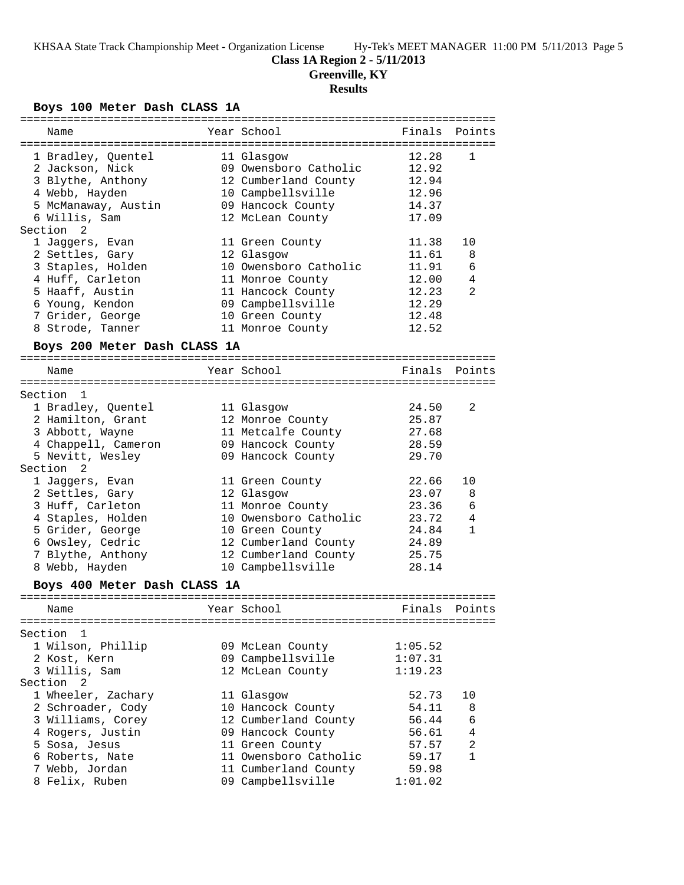## **Class 1A Region 2 - 5/11/2013**

**Greenville, KY**

# **Results**

## **Boys 100 Meter Dash CLASS 1A**

| ============                 | ==================================== |         | =======        |
|------------------------------|--------------------------------------|---------|----------------|
| Name                         | Year School                          | Finals  | Points         |
|                              |                                      |         |                |
| 1 Bradley, Quentel           | 11 Glasgow                           | 12.28   | 1              |
| 2 Jackson, Nick              | 09 Owensboro Catholic                | 12.92   |                |
| 3 Blythe, Anthony            | 12 Cumberland County                 | 12.94   |                |
| 4 Webb, Hayden               | 10 Campbellsville                    | 12.96   |                |
| 5 McManaway, Austin          | 09 Hancock County                    | 14.37   |                |
| 6 Willis, Sam                | 12 McLean County                     | 17.09   |                |
| Section <sub>2</sub>         |                                      |         |                |
| 1 Jaggers, Evan              | 11 Green County                      | 11.38   | 10             |
| 2 Settles, Gary              | 12 Glasgow                           | 11.61   | 8              |
| 3 Staples, Holden            | 10 Owensboro Catholic                | 11.91   | 6              |
| 4 Huff, Carleton             | 11 Monroe County                     | 12.00   | 4              |
| 5 Haaff, Austin              | 11 Hancock County                    | 12.23   | 2              |
| 6 Young, Kendon              | 09 Campbellsville                    | 12.29   |                |
| 7 Grider, George             | 10 Green County                      | 12.48   |                |
| 8 Strode, Tanner             | 11 Monroe County                     | 12.52   |                |
|                              |                                      |         |                |
| Boys 200 Meter Dash CLASS 1A |                                      |         |                |
|                              | Year School                          |         | Points         |
| Name                         |                                      | Finals  |                |
| Section 1                    |                                      |         |                |
| 1 Bradley, Quentel           |                                      | 24.50   | 2              |
|                              | 11 Glasgow                           | 25.87   |                |
| 2 Hamilton, Grant            | 12 Monroe County                     |         |                |
| 3 Abbott, Wayne              | 11 Metcalfe County                   | 27.68   |                |
| 4 Chappell, Cameron          | 09 Hancock County                    | 28.59   |                |
| 5 Nevitt, Wesley             | 09 Hancock County                    | 29.70   |                |
| Section <sub>2</sub>         |                                      |         |                |
| 1 Jaggers, Evan              | 11 Green County                      | 22.66   | 10             |
| 2 Settles, Gary              | 12 Glasgow                           | 23.07   | 8              |
| 3 Huff, Carleton             | 11 Monroe County                     | 23.36   | 6              |
| 4 Staples, Holden            | 10 Owensboro Catholic                | 23.72   | 4              |
| 5 Grider, George             | 10 Green County                      | 24.84   | $\mathbf{1}$   |
| 6 Owsley, Cedric             | 12 Cumberland County                 | 24.89   |                |
| 7 Blythe, Anthony            | 12 Cumberland County                 | 25.75   |                |
| 8 Webb, Hayden               | 10 Campbellsville                    | 28.14   |                |
| Boys 400 Meter Dash CLASS 1A |                                      |         |                |
|                              |                                      |         |                |
| Name                         | Year School                          | Finals  | Points         |
|                              |                                      |         |                |
| Section 1                    |                                      |         |                |
| 1 Wilson, Phillip            | 09 McLean County                     | 1:05.52 |                |
| 2 Kost, Kern                 | 09 Campbellsville                    | 1:07.31 |                |
| 3 Willis, Sam                | 12 McLean County                     | 1:19.23 |                |
| Section <sub>2</sub>         |                                      |         |                |
| 1 Wheeler, Zachary           | 11 Glasgow                           | 52.73   | 10             |
| 2 Schroader, Cody            | 10 Hancock County                    | 54.11   | 8              |
| 3 Williams, Corey            | 12 Cumberland County                 | 56.44   | 6              |
| 4 Rogers, Justin             | 09 Hancock County                    | 56.61   | $\overline{4}$ |
| 5 Sosa, Jesus                | 11 Green County                      | 57.57   | $\overline{a}$ |
|                              |                                      | 59.17   | $\mathbf{1}$   |
| 6 Roberts, Nate              | 11 Owensboro Catholic                |         |                |
| 7 Webb, Jordan               | 11 Cumberland County                 | 59.98   |                |
| 8 Felix, Ruben               | 09 Campbellsville                    | 1:01.02 |                |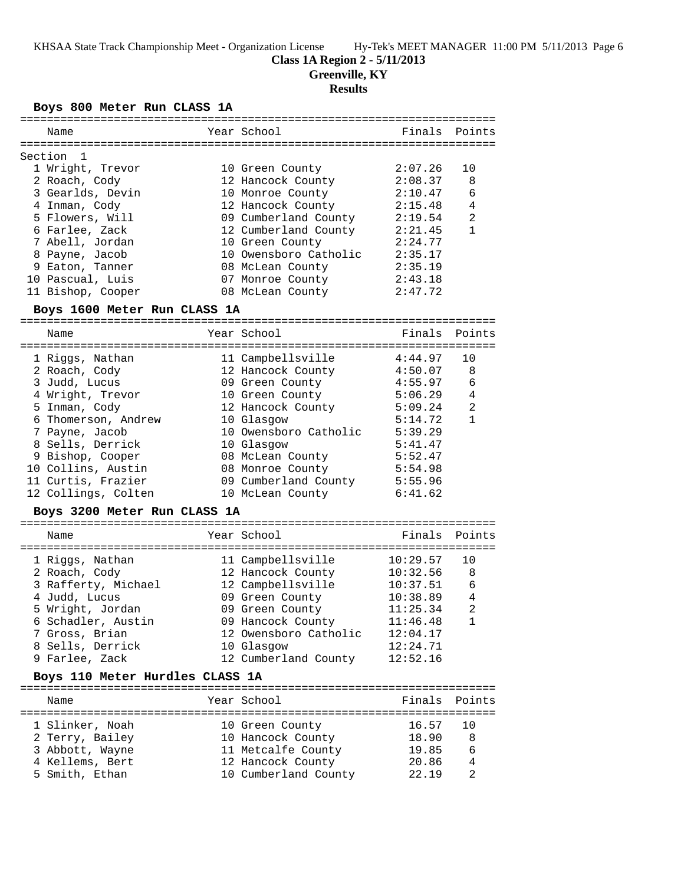### **Class 1A Region 2 - 5/11/2013**

**Greenville, KY**

### **Results**

### **Boys 800 Meter Run CLASS 1A**

| Name              | Year School           | Finals Points |                |
|-------------------|-----------------------|---------------|----------------|
| Section 1         |                       |               |                |
| 1 Wright, Trevor  | 10 Green County       | 2:07.26       | 10             |
| 2 Roach, Cody     | 12 Hancock County     | 2:08.37       | 8              |
| 3 Gearlds, Devin  | 10 Monroe County      | 2:10.47       | 6              |
| 4 Inman, Cody     | 12 Hancock County     | 2:15.48       | $\overline{4}$ |
| 5 Flowers, Will   | 09 Cumberland County  | 2:19.54       | 2              |
| 6 Farlee, Zack    | 12 Cumberland County  | 2:21.45       | $\mathbf{1}$   |
| 7 Abell, Jordan   | 10 Green County       | 2:24.77       |                |
| 8 Payne, Jacob    | 10 Owensboro Catholic | 2:35.17       |                |
| 9 Eaton, Tanner   | 08 McLean County      | 2:35.19       |                |
| 10 Pascual, Luis  | 07 Monroe County      | 2:43.18       |                |
| 11 Bishop, Cooper | 08 McLean County      | 2:47.72       |                |
|                   |                       |               |                |

#### **Boys 1600 Meter Run CLASS 1A**

======================================================================= Name Year School Finals Points ======================================================================= 1 Riggs, Nathan 11 Campbellsville 4:44.97 10 2 Roach, Cody 12 Hancock County 4:50.07 8 3 Judd, Lucus 09 Green County 4:55.97 6 4 Wright, Trevor 10 Green County 5:06.29 4 5 Inman, Cody 12 Hancock County 5:09.24 2 6 Thomerson, Andrew 10 Glasgow 5:14.72 1 7 Payne, Jacob 10 Owensboro Catholic 5:39.29 8 Sells, Derrick 10 Glasgow 5:41.47 9 Bishop, Cooper 08 McLean County 5:52.47 10 Collins, Austin 08 Monroe County 5:54.98 11 Curtis, Frazier 09 Cumberland County 5:55.96 12 Collings, Colten 10 McLean County 6:41.62

### **Boys 3200 Meter Run CLASS 1A**

| Name                                   | Year School                            | Finals Points        |         |
|----------------------------------------|----------------------------------------|----------------------|---------|
| 1 Riggs, Nathan<br>2 Roach, Cody       | 11 Campbellsville<br>12 Hancock County | 10:29.57<br>10:32.56 | 10<br>8 |
| 3 Rafferty, Michael                    | 12 Campbellsville                      | 10:37.51             | 6       |
| 4 Judd, Lucus                          | 09 Green County                        | 10:38.89             | 4       |
| 5 Wright, Jordan<br>6 Schadler, Austin | 09 Green County<br>09 Hancock County   | 11:25.34<br>11:46.48 | 2<br>1  |
| 7 Gross, Brian                         | 12 Owensboro Catholic                  | 12:04.17             |         |
| 8 Sells, Derrick                       | 10 Glasgow                             | 12:24.71             |         |
| 9 Farlee, Zack                         | 12 Cumberland County                   | 12:52.16             |         |
|                                        |                                        |                      |         |

### **Boys 110 Meter Hurdles CLASS 1A**

| Name            | Year School          | Finals Points |                |
|-----------------|----------------------|---------------|----------------|
|                 |                      |               |                |
| 1 Slinker, Noah | 10 Green County      | 16.57 10      |                |
| 2 Terry, Bailey | 10 Hancock County    | 18.90         | -8             |
| 3 Abbott, Wayne | 11 Metcalfe County   | 19.85         | 6              |
| 4 Kellems, Bert | 12 Hancock County    | 20.86         | $\overline{4}$ |
| 5 Smith, Ethan  | 10 Cumberland County | 22 19         |                |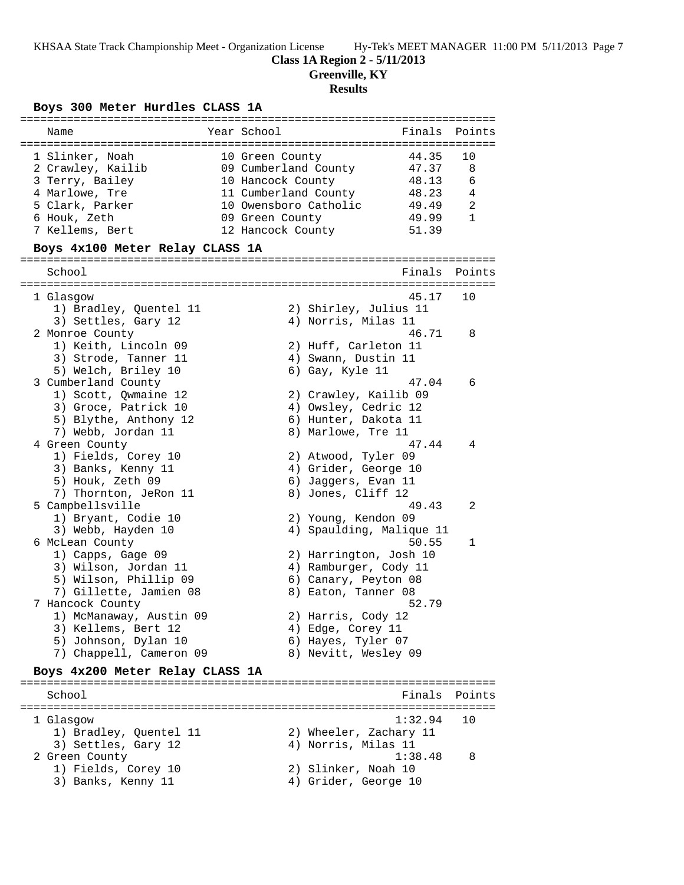## **Class 1A Region 2 - 5/11/2013**

**Greenville, KY**

# **Results**

## **Boys 300 Meter Hurdles CLASS 1A**

| Name                            | Year School              | Finals  | Points |
|---------------------------------|--------------------------|---------|--------|
|                                 |                          |         |        |
| 1 Slinker, Noah                 | 10 Green County          | 44.35   | 10     |
| 2 Crawley, Kailib               | 09 Cumberland County     | 47.37   | 8      |
| 3 Terry, Bailey                 | 10 Hancock County        | 48.13   | 6      |
| 4 Marlowe, Tre                  | 11 Cumberland County     | 48.23   | 4      |
| 5 Clark, Parker                 | 10 Owensboro Catholic    | 49.49   | 2      |
| 6 Houk, Zeth                    | 09 Green County          | 49.99   | 1      |
| 7 Kellems, Bert                 | 12 Hancock County        | 51.39   |        |
| Boys 4x100 Meter Relay CLASS 1A |                          |         |        |
|                                 |                          |         |        |
| School                          |                          | Finals  | Points |
|                                 |                          |         |        |
| 1 Glasgow                       |                          | 45.17   | 10     |
| 1) Bradley, Quentel 11          | 2) Shirley, Julius 11    |         |        |
| 3) Settles, Gary 12             | 4) Norris, Milas 11      |         |        |
| 2 Monroe County                 |                          | 46.71   | 8      |
| 1) Keith, Lincoln 09            | 2) Huff, Carleton 11     |         |        |
| 3) Strode, Tanner 11            | 4) Swann, Dustin 11      |         |        |
| 5) Welch, Briley 10             | 6) Gay, Kyle 11          |         |        |
| 3 Cumberland County             |                          | 47.04   | 6      |
| 1) Scott, Qwmaine 12            | 2) Crawley, Kailib 09    |         |        |
| 3) Groce, Patrick 10            | 4) Owsley, Cedric 12     |         |        |
| 5) Blythe, Anthony 12           | 6) Hunter, Dakota 11     |         |        |
| 7) Webb, Jordan 11              | 8) Marlowe, Tre 11       |         |        |
| 4 Green County                  |                          | 47.44   | 4      |
| 1) Fields, Corey 10             | 2) Atwood, Tyler 09      |         |        |
| 3) Banks, Kenny 11              | 4) Grider, George 10     |         |        |
| 5) Houk, Zeth 09                | 6) Jaggers, Evan 11      |         |        |
| 7) Thornton, JeRon 11           | 8) Jones, Cliff 12       |         |        |
| 5 Campbellsville                |                          | 49.43   | 2      |
| 1) Bryant, Codie 10             | 2) Young, Kendon 09      |         |        |
| 3) Webb, Hayden 10              | 4) Spaulding, Malique 11 |         |        |
| 6 McLean County                 |                          | 50.55   | 1      |
| 1) Capps, Gage 09               | 2) Harrington, Josh 10   |         |        |
| 3) Wilson, Jordan 11            | 4) Ramburger, Cody 11    |         |        |
| 5) Wilson, Phillip 09           | 6) Canary, Peyton 08     |         |        |
| 7) Gillette, Jamien 08          | 8) Eaton, Tanner 08      |         |        |
| 7 Hancock County                |                          | 52.79   |        |
| 1) McManaway, Austin 09         | 2) Harris, Cody 12       |         |        |
| 3) Kellems, Bert 12             | 4) Edge, Corey 11        |         |        |
| 5) Johnson, Dylan 10            | 6) Hayes, Tyler 07       |         |        |
| 7) Chappell, Cameron 09         | 8) Nevitt, Wesley 09     |         |        |
|                                 |                          |         |        |
| Boys 4x200 Meter Relay CLASS 1A |                          |         |        |
| School                          |                          | Finals  | Points |
|                                 |                          |         |        |
| 1 Glasgow                       |                          | 1:32.94 | 10     |
| 1) Bradley, Quentel 11          | 2) Wheeler, Zachary 11   |         |        |
| 3) Settles, Gary 12             | 4) Norris, Milas 11      |         |        |
| 2 Green County                  |                          | 1:38.48 | 8      |
| 1) Fields, Corey 10             | 2) Slinker, Noah 10      |         |        |
| 3) Banks, Kenny 11              | 4) Grider, George 10     |         |        |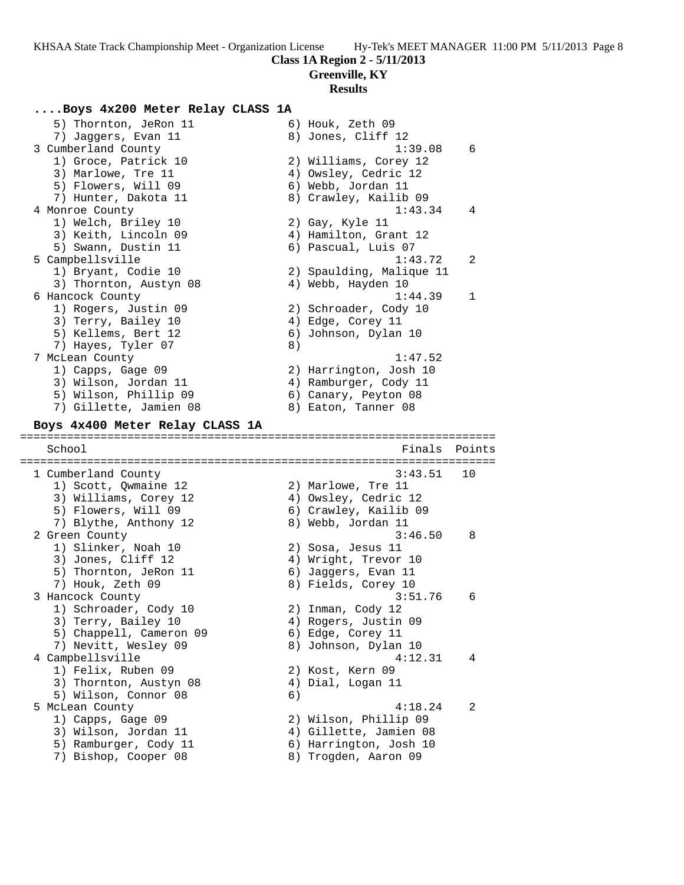### **Class 1A Region 2 - 5/11/2013**

**Greenville, KY**

### **Results**

### **....Boys 4x200 Meter Relay CLASS 1A**

5) Thornton, JeRon 11 6) Houk, Zeth 09 7) Jaggers, Evan 11 and 8) Jones, Cliff 12 3 Cumberland County 1:39.08 6 1) Groce, Patrick 10 2) Williams, Corey 12 3) Marlowe, Tre 11 4) Owsley, Cedric 12 5) Flowers, Will 09 6) Webb, Jordan 11 7) Hunter, Dakota 11 8) Crawley, Kailib 09 4 Monroe County 1:43.34 4 1) Welch, Briley 10 2) Gay, Kyle 11 3) Keith, Lincoln 09  $\begin{array}{ccc} 4) &$  Hamilton, Grant 12 5) Swann, Dustin 11 (6) Pascual, Luis 07 5 Campbellsville 1:43.72 2 1) Bryant, Codie 10 2) Spaulding, Malique 11 3) Thornton, Austyn 08 (4) Webb, Hayden 10 6 Hancock County 1:44.39 1 1) Rogers, Justin 09 2) Schroader, Cody 10 3) Terry, Bailey 10 (4) Edge, Corey 11 5) Kellems, Bert 12 (6) Johnson, Dylan 10 7) Hayes, Tyler 07 (8) 7 McLean County 1:47.52 1) Capps, Gage 09 2) Harrington, Josh 10 3) Wilson, Jordan 11 4) Ramburger, Cody 11 5) Wilson, Phillip 09 6) Canary, Peyton 08 7) Gillette, Jamien 08 8) Eaton, Tanner 08 **Boys 4x400 Meter Relay CLASS 1A** ======================================================================= Finals Points ======================================================================= 1 Cumberland County 3:43.51 10 1) Scott, Qwmaine 12 2) Marlowe, Tre 11 3) Williams, Corey 12 (4) Owsley, Cedric 12 5) Flowers, Will 09 6) Crawley, Kailib 09 7) Blythe, Anthony 12 8) Webb, Jordan 11 2 Green County 3:46.50 8 1) Slinker, Noah 10 2) Sosa, Jesus 11 3) Jones, Cliff 12 4) Wright, Trevor 10 5) Thornton, JeRon 11 6) Jaggers, Evan 11 7) Houk, Zeth 09 8) Fields, Corey 10 3 Hancock County 3:51.76 6 1) Schroader, Cody 10 2) Inman, Cody 12 3) Terry, Bailey 10 (4) Rogers, Justin 09 5) Chappell, Cameron 09 6) Edge, Corey 11 7) Nevitt, Wesley 09  $\hskip 1.5cm 8)$  Johnson, Dylan 10 4 Campbellsville 4:12.31 4 1) Felix, Ruben 09 2) Kost, Kern 09 3) Thornton, Austyn 08 (4) Dial, Logan 11 5) Wilson, Connor 08 6) 5 McLean County 4:18.24 2 1) Capps, Gage 09 2) Wilson, Phillip 09 3) Wilson, Jordan 11 4) Gillette, Jamien 08 5) Ramburger, Cody 11 6) Harrington, Josh 10 7) Bishop, Cooper 08 8) Trogden, Aaron 09